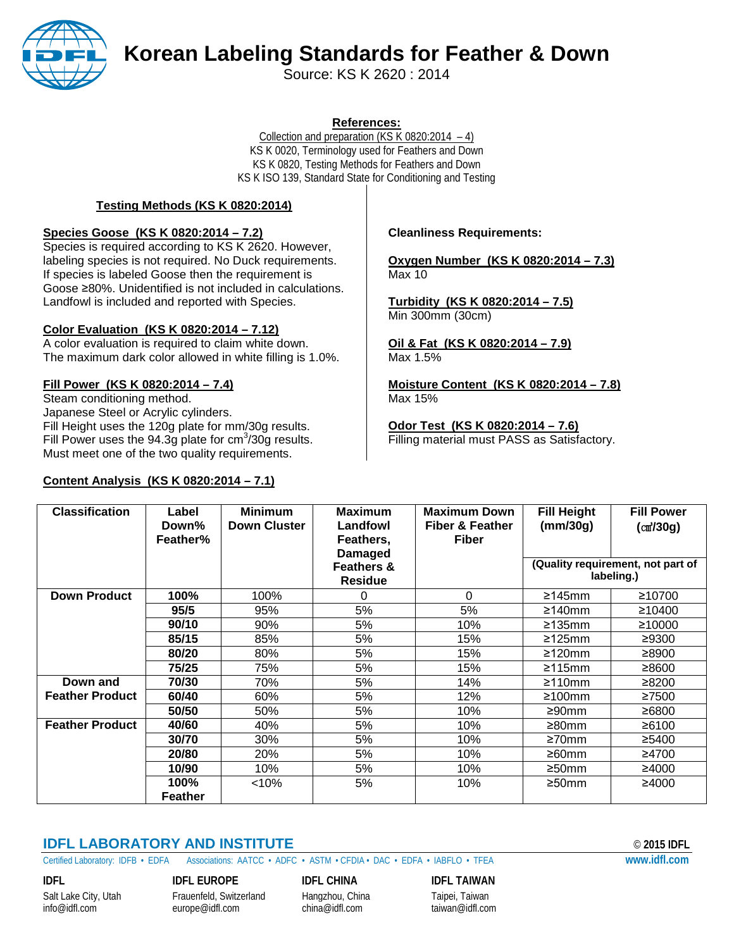

# **Korean Labeling Standards for Feather & Down**

Source: KS K 2620 : 2014

#### **References:**

Collection and preparation (KS K 0820:2014  $-4$ ) KS K 0020, Terminology used for Feathers and Down KS K 0820, Testing Methods for Feathers and Down KS K ISO 139, Standard State for Conditioning and Testing

#### **Testing Methods (KS K 0820:2014)**

#### **Species Goose (KS K 0820:2014 – 7.2)**

Species is required according to KS K 2620. However, labeling species is not required. No Duck requirements. If species is labeled Goose then the requirement is Goose ≥80%. Unidentified is not included in calculations. Landfowl is included and reported with Species.

#### **Color Evaluation (KS K 0820:2014 – 7.12)**

A color evaluation is required to claim white down. The maximum dark color allowed in white filling is 1.0%.

#### **Fill Power (KS K 0820:2014 – 7.4)**

Steam conditioning method. Japanese Steel or Acrylic cylinders. Fill Height uses the 120g plate for mm/30g results. Fill Power uses the 94.3g plate for  $\text{cm}^3\text{/}30\text{g}$  results. Must meet one of the two quality requirements.

#### **Content Analysis (KS K 0820:2014 – 7.1)**

#### **Cleanliness Requirements:**

**Oxygen Number (KS K 0820:2014 – 7.3)** Max 10

**Turbidity (KS K 0820:2014 – 7.5)** Min 300mm (30cm)

**Oil & Fat (KS K 0820:2014 – 7.9)** Max 1.5%

**Moisture Content (KS K 0820:2014 – 7.8)** Max 15%

**Odor Test (KS K 0820:2014 – 7.6)** Filling material must PASS as Satisfactory.

| <b>Classification</b>  | Label<br>Down%<br>Feather% | <b>Minimum</b><br><b>Down Cluster</b> | <b>Maximum</b><br>Landfowl<br>Feathers,<br><b>Damaged</b> | <b>Maximum Down</b><br><b>Fiber &amp; Feather</b><br><b>Fiber</b> | <b>Fill Height</b><br>(mm/30q)                  | <b>Fill Power</b><br>(m/30g) |
|------------------------|----------------------------|---------------------------------------|-----------------------------------------------------------|-------------------------------------------------------------------|-------------------------------------------------|------------------------------|
|                        |                            |                                       | <b>Feathers &amp;</b><br><b>Residue</b>                   |                                                                   | (Quality requirement, not part of<br>labeling.) |                              |
| <b>Down Product</b>    | 100%                       | 100%                                  | $\Omega$                                                  | 0                                                                 | ≥145mm                                          | ≥10700                       |
|                        | 95/5                       | 95%                                   | 5%                                                        | 5%                                                                | ≥140mm                                          | ≥10400                       |
|                        | 90/10                      | 90%                                   | 5%                                                        | 10%                                                               | $\geq$ 135mm                                    | ≥10000                       |
|                        | 85/15                      | 85%                                   | 5%                                                        | 15%                                                               | ≥125mm                                          | ≥9300                        |
|                        | 80/20                      | 80%                                   | 5%                                                        | 15%                                                               | $\geq$ 120mm                                    | ≥8900                        |
|                        | 75/25                      | 75%                                   | 5%                                                        | 15%                                                               | ≥115mm                                          | ≥8600                        |
| Down and               | 70/30                      | 70%                                   | 5%                                                        | 14%                                                               | $\geq 110$ mm                                   | ≥8200                        |
| <b>Feather Product</b> | 60/40                      | 60%                                   | 5%                                                        | 12%                                                               | $\geq 100$ mm                                   | ≥7500                        |
|                        | 50/50                      | 50%                                   | 5%                                                        | 10%                                                               | ≥90mm                                           | ≥6800                        |
| <b>Feather Product</b> | 40/60                      | 40%                                   | 5%                                                        | 10%                                                               | ≥80mm                                           | ≥6100                        |
|                        | 30/70                      | 30%                                   | 5%                                                        | 10%                                                               | $\geq 70$ mm                                    | ≥5400                        |
|                        | 20/80                      | 20%                                   | 5%                                                        | 10%                                                               | $\geq 60$ mm                                    | ≥4700                        |
|                        | 10/90                      | 10%                                   | 5%                                                        | 10%                                                               | $\geq$ 50mm                                     | ≥4000                        |
|                        | 100%                       | <10%                                  | 5%                                                        | 10%                                                               | $\geq$ 50mm                                     | ≥4000                        |
|                        | Feather                    |                                       |                                                           |                                                                   |                                                 |                              |

### **IDFL LABORATORY AND INSTITUTE** © **2015 IDFL**

Certified Laboratory: IDFB • EDFA Associations: AATCC • ADFC•ASTM • CFDIA • DAC • EDFA • IABFLO • TFEA **[www.idfl.com](http://www.idfl.com/)**

**IDFL IDFL EUROPE IDFL CHINA IDFL TAIWAN**

[europe@idfl.com](mailto:europe@idfl.com)

Salt Lake City, Utah Frauenfeld, Switzerland Hangzhou, China Taipei, Taiwan<br>
info@idfl.com europe@idfl.com china@idfl.com taiwan@idfl.com